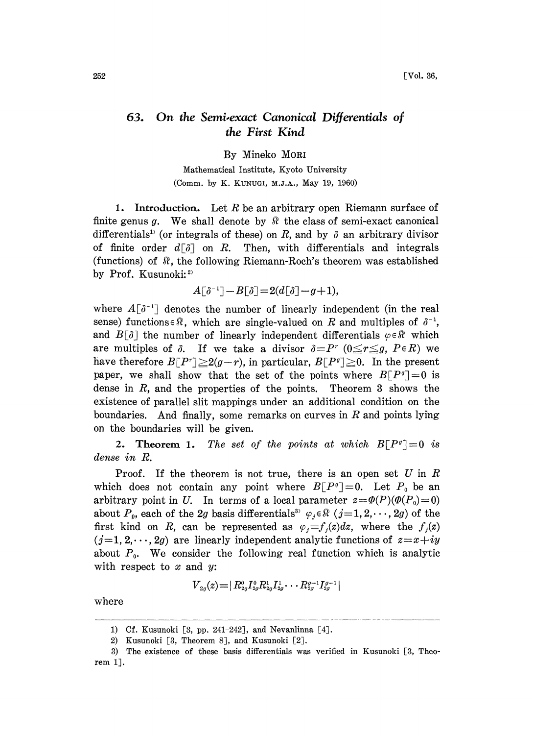## 63. On the Semi-exact Canonical Differentials of the First Kind

By Mineko MORI

Mathematical Institute, Kyoto University (Comm. by K. KUNUGI, M.J.A., May 19, 1960)

1. Introduction. Let R be an arbitrary open Riemann surface of finite genus g. We shall denote by  $\mathbb R$  the class of semi-exact canonical differentials<sup>1)</sup> (or integrals of these) on R, and by  $\delta$  an arbitrary divisor of finite order  $d\lceil \delta \rceil$  on R. Then, with differentials and integrals (functions) of  $\mathbb R$ , the following Riemann-Roch's theorem was established by Prof. Kusunoki: $2$ 

$$
A[\delta^{-1}]-B[\delta]\!=\!2(d[\delta]\!-\!g\!+\!1),
$$

where  $A[\delta^{-1}]$  denotes the number of linearly independent (in the real sense) functions  $\in \mathbb{R}$ , which are single-valued on R and multiples of  $\delta^{-1}$ ,<br>and  $B[\delta]$  the number of linearly independent differentials  $\varphi \in \mathbb{R}$  which are multiples of  $\delta$ . If we take a divisor  $\delta = P^r$  ( $0 \leq r \leq g$ ,  $P \in R$ ) we have therefore  $B[P^r] \geq 2(g-r)$ , in particular,  $B[P^{\sigma}] \geq 0$ . In the present paper, we shall show that the set of the points where  $B[P^q]=0$  is dense in  $R$ , and the properties of the points. Theorem 3 shows the existence of parallel slit mappings under an additional condition on the boundaries. And finally, some remarks on curves in  $R$  and points lying on the boundaries will be given.

2. Theorem 1. The set of the points at which  $B[P^q]=0$  is dense in R.

Proof. If the theorem is not true, there is an open set  $U$  in  $R$ which does not contain any point where  $B[P^q]=0$ . Let  $P_0$  be an arbitrary point in U. In terms of a local parameter  $z = \Phi(P)(\Phi(P_0)=0)$ about  $P_p$ , each of the 2g basis differentials<sup>33</sup>  $\varphi_j \in \mathbb{R}$  (j=1,2,..., 2g) of the first kind on R, can be represented as  $\varphi_j = f_j(z)dz$ , where the  $f_j(z)$  $(j=1, 2, \dots, 2g)$  are linearly independent analytic functions of  $z=x+iy$ about  $P_0$ . We consider the following real function which is analytic with respect to  $x$  and  $y$ :

$$
{V}_{2g}(z) \hspace{-1mm} \equiv \hspace{-1mm} | \, R_{2g}^0 I_{2g}^0 R_{2g}^1 I_{2g}^1 \hspace{-1mm} \cdots \hspace{-1mm} R_{2g}^{g-1} I_{2g}^{g-1} |
$$

where

<sup>1)</sup> Cf. Kusunoki [3, pp. 241-242], and Nevanlinna [4].

<sup>2)</sup> Kusunoki [3, Theorem 8], and Kusunoki [2].

<sup>3)</sup> The existence of these basis differentials was verified in Kusunoki [3, Theorem 1].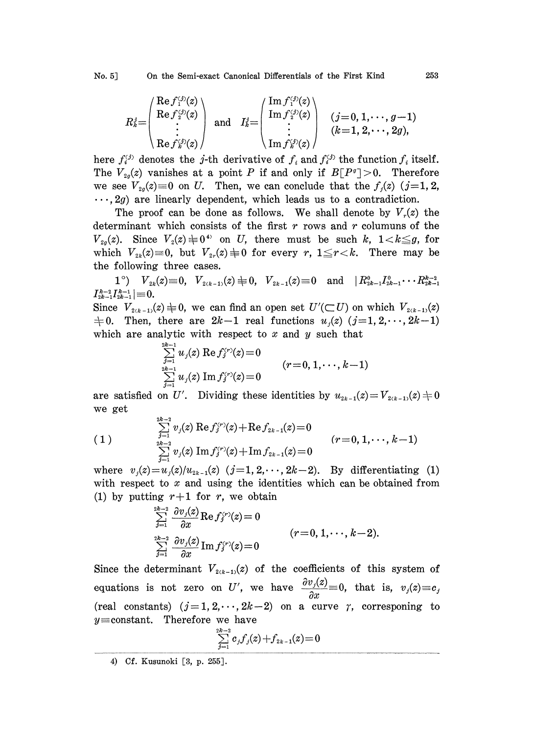$$
R_k^j \!\!=\!\! \left(\begin{array}{c} \!\!\operatorname{Re} f_1^{\scriptscriptstyle (j)}(z)\\ \!\!\operatorname{Re} f_2^{\scriptscriptstyle (j)}(z)\\ \vdots\\ \!\!\operatorname{Re} f_k^{\scriptscriptstyle (j)}(z) \end{array}\right) \ \ \text{and} \quad \ I_k^j \!\!=\!\! \left(\begin{array}{c} \!\!\operatorname{Im} f_1^{\scriptscriptstyle (j)}(z)\\ \!\!\operatorname{Im} f_2^{\scriptscriptstyle (j)}(z)\\ \vdots\\ \!\!\operatorname{Im} f_k^{\scriptscriptstyle (j)}(z) \end{array}\right) \ \ \left(\begin{array}{c} (j\!=\!0,1,\cdots,g\!-\!1)\\ (k\!=\!1,2,\cdots,2g), \end{array}\right)
$$

here  $f_i^{(j)}$  denotes the j-th derivative of  $f_i$  and  $f_i^{(j)}$  the function  $f_i$  itself. The  $V_{20}(z)$  vanishes at a point P if and only if  $B[P^q] > 0$ . Therefore we see  $V_{2g}(z)=0$  on U. Then, we can conclude that the  $f_j(z)$  (j=1, 2,  $\cdots$ , 2g) are linearly dependent, which leads us to a contradiction.

The proof can be done as follows. We shall denote by  $V_r(z)$  the determinant which consists of the first  $r$  rows and  $r$  columuns of the  $V_{2g}(z)$ . Since  $V_2(z) \neq 0$ <sup>4</sup> on U, there must be such k,  $1 < k \leq g$ , for which  $V_{2k}(z)=0$ , but  $V_{2r}(z)\neq 0$  for every r,  $1\leq r < k$ . There may be the following three cases.

 $1^{\circ}$ )  $V_{2k}(z) \equiv 0$ ,  $V_{2(k-1)}(z) \not\equiv 0$ ,  $V_{2k-1}(z) \equiv 0$  and  $\left(R_{2k-1}^{0}I_{2k-1}^{0} \cdots R_{2k-1}^{k-2}\right)$  $|I_{2k-1}^{k-2}I_{2k-1}^{k-1}| \! \equiv \! 0.$ 

Since  $V_{2(k-1)}(z) \neq 0$ , we can find an open set  $U'(\subset U)$  on which  $V_{2(k-1)}(z)$  $\pm 0$ . Then, there are  $2k-1$  real functions  $u_i(z)(j=1,2,\dots,2k-1)$ which are analytic with respect to  $x$  and  $y$  such that

$$
\sum_{j=1 \atop j=1}^{2k-1} u_j(z) \mathop{\rm Re}\nolimits f_j^{\zeta r)}(z) \!=\! 0 \qquad \qquad (r \!=\! 0,1,\cdots,k \!-\! 1)
$$

are satisfied on U'. Dividing these identities by  $u_{2k-1}(z)=V_{2(k-1)}(z)+0$ we get

$$
(1) \qquad \qquad \sum_{j=1}^{2k-2} v_j(z) \mathop{\rm Re}\nolimits f_j^{(r)}(z) + \mathop{\rm Re}\nolimits f_{2k-1}(z) \!=\! 0 \qquad \qquad (r\!=\!0,1,\!\cdots\!,k\!-\!1)\\ \sum_{j=1}^{2k-2} v_j(z) \mathop{\rm Im}\nolimits f_j^{(r)}(z) \!+\! \mathop{\rm Im}\nolimits f_{2k-1}(z) \!=\! 0
$$

where  $v_j(z) = u_j(z)/u_{2k-1}(z)$   $(j=1, 2, \dots, 2k-2)$ . By differentiating (1) with respect to  $x$  and using the identities which can be obtained from (1) by putting  $r+1$  for r, we obtain

$$
\sum_{j=1}^{2k-2} \frac{\partial v_j(z)}{\partial x} \text{Re} f_j^{(r)}(z) = 0
$$
\n
$$
\sum_{j=1}^{2k-2} \frac{\partial v_j(z)}{\partial x} \text{Im} f_j^{(r)}(z) = 0
$$
\n
$$
(r = 0, 1, \dots, k-2).
$$

Since the determinant  $V_{2(k-1)}(z)$  of the coefficients of this system of equations is not zero on U', we have  $\frac{\partial v_j(z)}{\partial x}=0$ , that is,  $v_j(z)=c_j$ (real constants)  $(j=1, 2, \dots, 2k-2)$  on a curve  $\gamma$ , corresponing to  $y=constant$ . Therefore we have

$$
\textstyle \sum\limits_{j=1}^{2k-2} c_j f_j(z) + f_{2k-1}(z) \!=\! 0
$$

<sup>4)</sup> Cf. Kusunoki [3, p. 255J.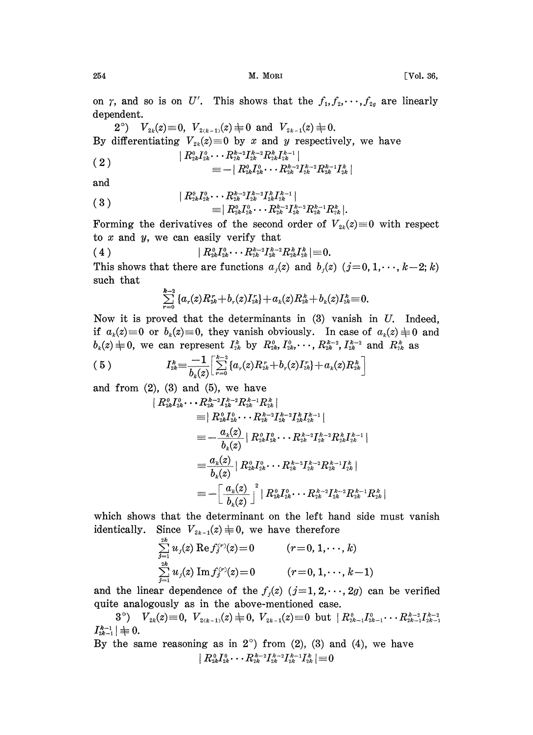254 M. MORI [Vol. 36,

 $\overline{\phantom{a}}$ 

on  $\gamma$ , and so is on U'. This shows that the  $f_1, f_2, \dots, f_{2g}$  are linearly dependent.

2°)  $V_{2k}(z) \equiv 0$ ,  $V_{2(k-1)}(z) \not\equiv 0$  and  $V_{2k-1}(z) \not\equiv 0$ . By differentiating  $V_{2k}(z)=0$  by x and y respectively, we have

$$
\begin{array}{ll} &| \hspace{.1cm} R_{2k}^{0} I_{2k}^{0} \cdots R_{2k}^{k-2} I_{2k}^{k-2} R_{2k}^{k} I_{2k}^{k-1} \hspace{.03cm} | \\ & \hspace{.03cm} \equiv - \mid R_{2k}^{0} I_{2k}^{0} \cdots R_{2k}^{k-2} I_{2k}^{k-2} R_{2k}^{k-1} I_{2k}^{k} \hspace{.03cm} \end{array}
$$

and

$$
( \; 3 \; ) \qquad \qquad \nonumber \\ \begin{array}{c} \mid R^0_{2k}I^0_{2k}\cdots R^{k-2}_{2k}I^{k-2}_{2k}I^{k-1}_{2k} \mid \\ \equiv \mid R^0_{2k}I^0_{2k}\cdots R^{k-2}_{2k}I^{k-2}_{2k}I^{k-2}_{2k}R^{k-1}_{2k}R^{k}_{2k} \mid. \end{array}
$$

Forming the derivatives of the second order of  $V_{2k}(z)\equiv 0$  with respect to  $x$  and  $y$ , we can easily verify that  $I_{2k}^{0} \longrightarrow \begin{bmatrix} P_{2k}P_{2k} & P_{2k}P_{2k} \ P_{2k}^{0} \cdots P_{2k}^{k-2}I_{2k}^{k-2} & P_{2k}P_{2k} \end{bmatrix}$ <br>e second order

$$
( \hspace{0.1cm} 4 \hspace{0.1cm} ) \hspace{3cm} | \hspace{0.1cm} R^{\scriptscriptstyle 0}_{\scriptscriptstyle 2k} I^{\scriptscriptstyle 0}_{\scriptscriptstyle 2k} \cdots R^{\scriptscriptstyle k-2}_{\scriptscriptstyle 2k} I^{\scriptscriptstyle k-2}_{\scriptscriptstyle 2k} R^{\scriptscriptstyle k}_{\scriptscriptstyle 2k} I^{\scriptscriptstyle k}_{\scriptscriptstyle 2k} | \equiv \hspace{0.1cm} 0.
$$

This shows that there are functions  $a_i(z)$  and  $b_i(z)$   $(j=0, 1, \dots, k-2; k)$ such that

$$
\sum_{r=0}^{k-2}\left\{a_r(z)R^r_{2k}+b_r(z)I^r_{2k}\right\}+a_k(z)R^k_{2k}+b_k(z)I^k_{2k}\!\equiv\!0.
$$

Now it is proved that the determinants in  $(3)$  vanish in U. Indeed, if  $a_k(z)\equiv 0$  or  $b_k(z)\equiv 0$ , they vanish obviously. In case of  $a_k(z)\equiv 0$  and  $b_k(z) = 0$  or  $b_k(z) = 0$ , they vanish obviously. In case of  $a_k(z) \neq 0$ <br>  $b_k(z) \neq 0$ , we can represent  $I_{2k}^s$  by  $R_{2k}^0, I_{2k}^0, \dots, R_{2k}^{k-2}, I_{2k}^{k-2}$  and  $R_{2k}^k$  as

$$
(5) \tI_{2k}^k = \frac{-1}{b_k(z)} \Big[ \sum_{r=0}^{k-2} \{a_r(z)R_{2k}^r + b_r(z)I_{2k}^r\} + a_k(z)R_{2k}^k \Big]
$$

and from  $(2)$ ,  $(3)$  and  $(5)$ , we have

$$
\begin{aligned} \mid R^o_{2k}I^o_{2k} \cdots R^{h-2}_{2k}I^{k-2}_{2k}R^{k-1}_{2k}R^{k}_{2k} \mid \\ & \equiv \mid R^o_{2k}I^o_{2k} \cdots R^{k-2}_{2k}I^{k-2}_{2k}I^{k-1}_{2k} \mid \\ & \equiv -\frac{a_k(z)}{b_k(z)} \mid R^o_{2k}I^o_{2k} \cdots R^{k-2}_{2k}I^{k-2}_{2k}R^{k-1}_{2k}R^{k-1}_{2k} \mid \\ & \equiv -\frac{a_k(z)}{b_k(z)} \mid R^o_{2k}I^o_{2k} \cdots R^{k-2}_{2k}I^{k-2}_{2k}R^{k-1}_{2k}I^{k-1}_{2k} \mid \\ & \equiv \frac{a_k(z)}{b_k(z)} \mid R^o_{2k}I^o_{2k} \cdots R^{k-2}_{2k}I^{k-2}_{2k}R^{k-1}_{2k}I^{k}_{2k} \mid \\ & \equiv -\bigg[\frac{a_k(z)}{b_k(z)}\bigg]^2 \mid R^o_{2k}I^o_{2k} \cdots R^{k-2}_{2k}I^{k-2}_{2k}R^{k-1}_{2k}R^{k}_{2k} \end{aligned}
$$

which shows that the determinant on the left hand side must vanish identically. Since  $V_{2k-1}(z) \neq 0$ , we have therefore

$$
\sum_{j=1}^{2^k} u_j(z) \operatorname{Re} f_j^{(r)}(z) = 0 \qquad (r = 0, 1, \cdots, k)
$$
  

$$
\sum_{j=1}^{2^k} u_j(z) \operatorname{Im} f_j^{(r)}(z) = 0 \qquad (r = 0, 1, \cdots, k-1)
$$

and the linear dependence of the  $f_i(z)$   $(j=1, 2, \dots, 2g)$  can be verified quite analogously as in the above-mentioned case.

3°)  $V_{2k}(z) \equiv 0$ ,  $V_{2(k-1)}(z) \equiv 0$ ,  $V_{2k-1}(z) \equiv 0$  but  $\mid R_{2k-1}^0 I_{2k-1}^0 \cdots R_{2k-1}^{k-2} I_{2k-1}^{k-2}$  $|I_{2k-1}^{k-1}| \neq 0.$ 

By the same reasoning as in  $2^{\circ}$  from (2), (3) and (4), we have  $\mid R_{2k}^{\,0}I_{2k}^{\,0}\cdots R_{2k}^{\,k-2}I_{2k}^{\,k-2}I_{2k}^{\,k-1}I_{2k}^{\,k}\mid \equiv 0$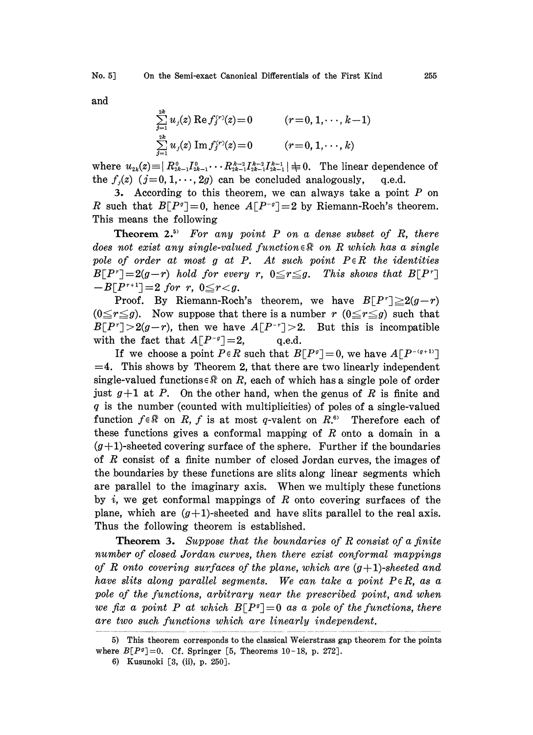and

$$
\sum_{j=1}^{2k} u_j(z) \operatorname{Re} f_j^{(r)}(z) = 0 \qquad (r = 0, 1, \dots, k-1)
$$
  

$$
\sum_{j=1}^{2k} u_j(z) \operatorname{Im} f_j^{(r)}(z) = 0 \qquad (r = 0, 1, \dots, k)
$$

where  $u_{2k}(z) = | R_{2k-1}^0 I_{2k-1}^0 \cdots R_{2k-1}^{k-2} I_{2k-1}^{k-1} I_{2k-1}^{k-1}| \neq 0$ . The linear dependence of the  $f_i(z)$   $(j=0, 1, \dots, 2g)$  can be concluded analogously, q.e.d. the  $f_i(z)$   $(j=0, 1, \dots, 2g)$  can be concluded analogously,

3. According to this theorem, we can always take a point  $P$  on R such that  $B[P^{\sigma}]=0$ , hence  $A[P^{-\sigma}]=2$  by Riemann-Roch's theorem. This means the following

**Theorem 2.**<sup>5</sup> For any point  $P$  on a dense subset of  $R$ , there does not exist any single-valued function  $\in \mathbb{R}$  on R which has a single pole of order at most g at P. At such point  $P \in R$  the identities  $B[P^r]=2(g-r)$  hold for every r,  $0\leq r\leq g$ . This shows that  $B[P^r]$  $-B[P^{r+1}]=2$  for r,  $0 \le r < g$ .

Proof. By Riemann-Roch's theorem, we have  $B[P^r] \geq 2(g-r)$  $(0 \leq r \leq g)$ . Now suppose that there is a number r  $(0 \leq r \leq g)$  such that  $B[P^r] > 2(g-r)$ , then we have  $A[P^{-r}] > 2$ . But this is incompatible with the fact that  $A[P^{-q}]=2$ , q.e.d.

If we choose a point  $P \in R$  such that  $B[P^{\sigma}] = 0$ , we have  $A[P^{-(g+1)}]$  $=4$ . This shows by Theorem 2, that there are two linearly independent single-valued functions  $\in \mathbb{R}$  on R, each of which has a single pole of order just  $g+1$  at P. On the other hand, when the genus of R is finite and  $q$  is the number (counted with multiplicities) of poles of a single-valued function  $f \in \mathbb{R}$  on R, f is at most q-valent on  $R$ .<sup>6</sup> Therefore each of these functions gives a conformal mapping of  $R$  onto a domain in a  $(g+1)$ -sheeted covering surface of the sphere. Further if the boundaries of  $R$  consist of a finite number of closed Jordan curves, the images of the boundaries by these functions are slits along linear segments which are parallel to the imaginary axis. When we multiply these functions by i, we get conformal mappings of  $R$  onto covering surfaces of the plane, which are  $(g+1)$ -sheeted and have slits parallel to the real axis. Thus the following theorem is established.

**Theorem 3.** Suppose that the boundaries of R consist of a finite number of closed Jordan curves, then there exist conformal mappings of R onto covering surfaces of the plane, which are  $(g+1)$ -sheeted and have slits along parallel segments. We can take a point  $P \in R$ , as a pole of the functions, arbitrary near the prescribed point, and when we fix a point P at which  $B[P^q]=0$  as a pole of the functions, there are two such functions which are linearly independent.

<sup>5)</sup> This theorem corresponds to the classical Weierstrass gap theorem for the points where  $B[P^q]=0$ . Cf. Springer [5, Theorems 10-18, p. 272].

<sup>6)</sup> Kusunoki [3, (ii), p. 250].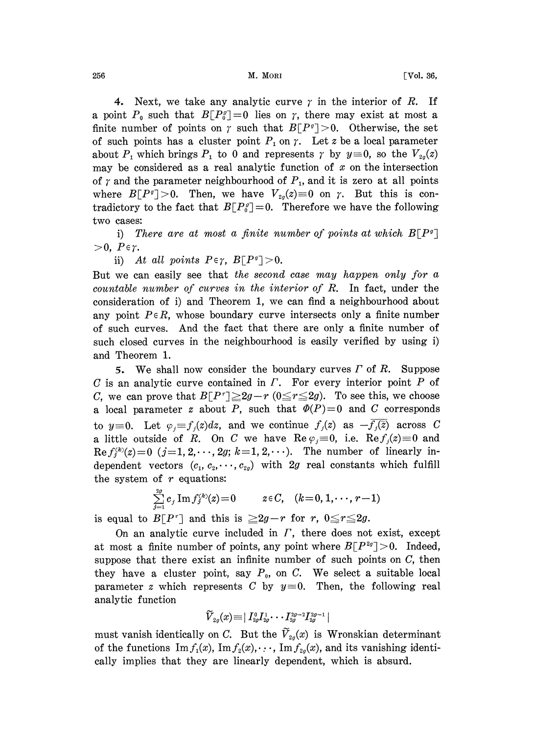$\text{M. MORI}$  [Vol. 36,

4. Next, we take any analytic curve  $\gamma$  in the interior of R. If a point  $P_0$  such that  $B[P_0^g]=0$  lies on  $\gamma$ , there may exist at most a finite number of points on  $\gamma$  such that  $B[P^q] > 0$ . Otherwise, the set of such points has a cluster point  $P_1$  on  $\gamma$ . Let z be a local parameter about  $P_1$  which brings  $P_1$  to 0 and represents  $\gamma$  by  $y \equiv 0$ , so the  $V_{2g}(z)$  may be considered as a real analytic function of x on the intersection may be considered as a real analytic function of  $x$  on the intersection of  $\gamma$  and the parameter neighbourhood of  $P_1$ , and it is zero at all points where  $B[P^q] > 0$ . Then, we have  $V_{2q}(z) \equiv 0$  on  $\gamma$ . But this is contradictory to the fact that  $B[P^{\rho}_{0}]=0$ . Therefore we have the following two cases:

i) There are at most a finite number of points at which  $B[P^g]$  $>0, P \in \gamma.$ 

ii) At all points  $P \in \gamma$ ,  $B[P^q] > 0$ .

But we can easily see that the second case may happen only for  $a$ countable number of curves in the interior of R. In fact, under the consideration of i) and Theorem 1, we can find a neighbourhood about any point  $P \in R$ , whose boundary curve intersects only a finite number of such curves. And the fact that there are only a finite number of such closed curves in the neighbourhood is easily verified by using i) and Theorem 1.

5. We shall now consider the boundary curves  $\Gamma$  of  $R$ . Suppose  $C$  is an analytic curve contained in  $\Gamma$ . For every interior point  $P$  of C, we can prove that  $B[P^r] \geq 2g-r$  ( $0 \leq r \leq 2g$ ). To see this, we choose a local parameter z about P, such that  $\Phi(P)=0$  and C corresponds to  $y \equiv 0$ . Let  $\varphi_j = f_j(z)dz$ , and we continue  $f_j(z)$  as  $-\overline{f_j(z)}$  across C a little outside of R. On C we have  $\text{Re } \varphi_i \equiv 0$ , i.e.  $\text{Re } f_i(z) \equiv 0$  and  $\text{Re } f_i^{(k)}(z) = 0$   $(j=1, 2, \dots, 2g; k=1, 2, \dots)$ . The number of linearly independent vectors  $(c_1, c_2, \dots, c_{2g})$  with 2g real constants which fulfill the system of  $r$  equations:

$$
\sum_{j=1}^{2g} c_j \operatorname{Im} f_j^{(k)}(z) = 0 \qquad z \in C, \quad (k = 0, 1, \cdots, r-1)
$$

is equal to  $B[P^r]$  and this is  $\geq 2g-r$  for r,  $0 \leq r \leq 2g$ .

On an analytic curve included in  $\Gamma$ , there does not exist, except at most a finite number of points, any point where  $B[P^{2g}]>0$ . Indeed, suppose that there exist an infinite number of such points on  $C$ , then they have a cluster point, say  $P_0$ , on C. We select a suitable local parameter z which represents C by  $y\equiv 0$ . Then, the following real analytic function

$$
{\widetilde{V}}_{2g}(x)\!\equiv\!\mid I_{2g}^0I_{2g}^1\!\cdot\cdot\cdot I_{2g}^{2g-2}I_{2g}^{2g-1}\mid
$$

must vanish identically on C. But the  $\widetilde{V}_{2g}(x)$  is Wronskian determinant of the functions  $\text{Im } f_1(x)$ ,  $\text{Im } f_2(x)$ ,...,  $\text{Im } f_{2q}(x)$ , and its vanishing identically implies that they are linearly dependent, which is absurd.